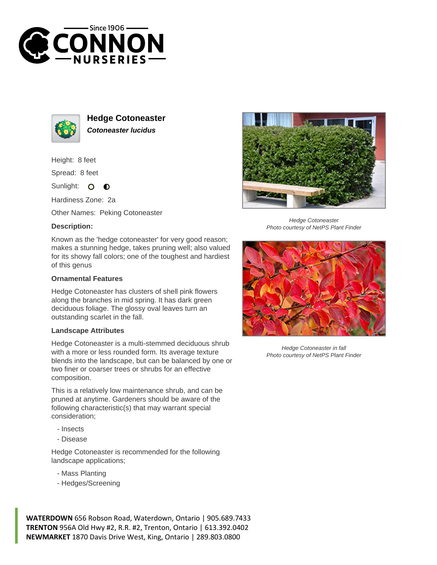



**Hedge Cotoneaster Cotoneaster lucidus**

Height: 8 feet

Spread: 8 feet

Sunlight:  $\circ$  $\bullet$ 

Hardiness Zone: 2a

Other Names: Peking Cotoneaster

## **Description:**

Known as the 'hedge cotoneaster' for very good reason; makes a stunning hedge, takes pruning well; also valued for its showy fall colors; one of the toughest and hardiest of this genus

## **Ornamental Features**

Hedge Cotoneaster has clusters of shell pink flowers along the branches in mid spring. It has dark green deciduous foliage. The glossy oval leaves turn an outstanding scarlet in the fall.

## **Landscape Attributes**

Hedge Cotoneaster is a multi-stemmed deciduous shrub with a more or less rounded form. Its average texture blends into the landscape, but can be balanced by one or two finer or coarser trees or shrubs for an effective composition.

This is a relatively low maintenance shrub, and can be pruned at anytime. Gardeners should be aware of the following characteristic(s) that may warrant special consideration;

- Insects
- Disease

Hedge Cotoneaster is recommended for the following landscape applications;

- Mass Planting
- Hedges/Screening



Hedge Cotoneaster Photo courtesy of NetPS Plant Finder



Hedge Cotoneaster in fall Photo courtesy of NetPS Plant Finder

**WATERDOWN** 656 Robson Road, Waterdown, Ontario | 905.689.7433 **TRENTON** 956A Old Hwy #2, R.R. #2, Trenton, Ontario | 613.392.0402 **NEWMARKET** 1870 Davis Drive West, King, Ontario | 289.803.0800